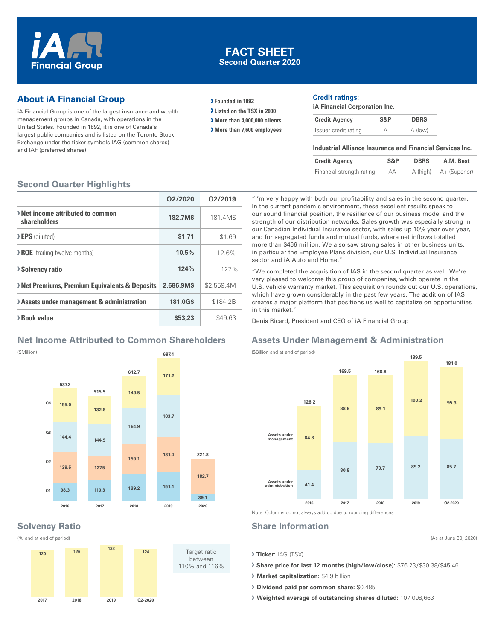

## **FACT SHEET Second Quarter 2020**

# **About iA Financial Group**

iA Financial Group is one of the largest insurance and wealth management groups in Canada, with operations in the United States. Founded in 1892, it is one of Canada's largest public companies and is listed on the Toronto Stock Exchange under the ticker symbols IAG (common shares) and IAF (preferred shares).

- **› Founded in 1892**
- **› Listed on the TSX in 2000**
- **› More than 4,000,000 clients**
- **› More than 7,600 employees**

#### **Credit ratings:**

**iA Financial Corporation Inc.**

| <b>Credit Agency</b> | S&P | <b>DBRS</b> |
|----------------------|-----|-------------|
| Issuer credit rating |     | A (low)     |

#### **Industrial Alliance Insurance and Financial Services Inc.**

| <b>Credit Agency</b>      | S&P | <b>DBRS</b> | A.M. Best              |
|---------------------------|-----|-------------|------------------------|
| Financial strength rating | AA- |             | A (high) A+ (Superior) |

## **Second Quarter Highlights**

|                                                   | 02/2020    | 02/2019    |
|---------------------------------------------------|------------|------------|
| > Net income attributed to common<br>shareholders | 182.7M\$   | 181.4M\$   |
| > EPS (diluted)                                   | \$1.71     | \$1.69     |
| > ROE (trailing twelve months)                    | 10.5%      | 12.6%      |
| <b>Solvency ratio</b>                             | 124%       | 127%       |
| > Net Premiums, Premium Equivalents & Deposits    | 2.686.9M\$ | \$2,559.4M |
| > Assets under management & administration        | 181.0G\$   | \$184.2B   |
| > Book value                                      | \$53,23    | \$49.63    |

# **Net Income Attributed to Common Shareholders**



### **Solvency Ratio**

(% and at end of period)



"I'm very happy with both our profitability and sales in the second quarter. In the current pandemic environment, these excellent results speak to our sound financial position, the resilience of our business model and the strength of our distribution networks. Sales growth was especially strong in our Canadian Individual Insurance sector, with sales up 10% year over year, and for segregated funds and mutual funds, where net inflows totalled more than \$466 million. We also saw strong sales in other business units, in particular the Employee Plans division, our U.S. Individual Insurance sector and iA Auto and Home."

"We completed the acquisition of IAS in the second quarter as well. We're very pleased to welcome this group of companies, which operate in the U.S. vehicle warranty market. This acquisition rounds out our U.S. operations, which have grown considerably in the past few years. The addition of IAS creates a major platform that positions us well to capitalize on opportunities in this market."

Denis Ricard, President and CEO of iA Financial Group

# **Assets Under Management & Administration**



#### **Share Information**

(As at June 30, 2020)

**› Ticker:** IAG (TSX)

- **› Share price for last 12 months (high/low/close):** \$76.23 / \$30.38/ \$45.46
- **› Market capitalization:** \$4.9 billion
- **› Dividend paid per common share:** \$0.485

**› Weighted average of outstanding shares diluted:** 107,098,663